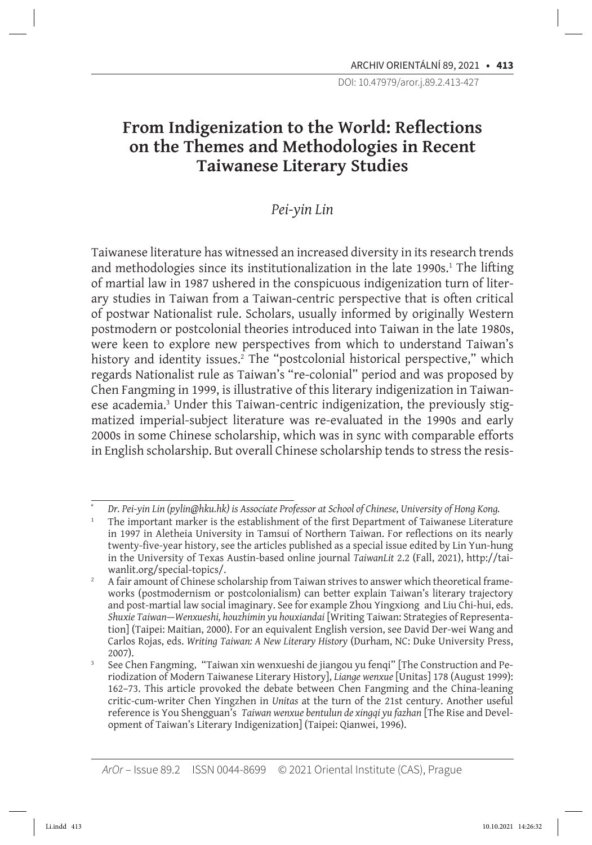# **From Indigenization to the World: Reflections on the Themes and Methodologies in Recent Taiwanese Literary Studies**

# *Pei-yin Lin*

Taiwanese literature has witnessed an increased diversity in its research trends and methodologies since its institutionalization in the late 1990s.1 The lifting of martial law in 1987 ushered in the conspicuous indigenization turn of literary studies in Taiwan from a Taiwan-centric perspective that is often critical of postwar Nationalist rule. Scholars, usually informed by originally Western postmodern or postcolonial theories introduced into Taiwan in the late 1980s, were keen to explore new perspectives from which to understand Taiwan's history and identity issues.<sup>2</sup> The "postcolonial historical perspective," which regards Nationalist rule as Taiwan's "re-colonial" period and was proposed by Chen Fangming in 1999, is illustrative of this literary indigenization in Taiwanese academia.<sup>3</sup> Under this Taiwan-centric indigenization, the previously stigmatized imperial-subject literature was re-evaluated in the 1990s and early 2000s in some Chinese scholarship, which was in sync with comparable efforts in English scholarship. But overall Chinese scholarship tends to stress the resis-

*<sup>\*</sup> Dr. Pei-yin Lin (pylin@hku.hk) is Associate Professor at School of Chinese, University of Hong Kong.*

<sup>1</sup> The important marker is the establishment of the first Department of Taiwanese Literature in 1997 in Aletheia University in Tamsui of Northern Taiwan. For reflections on its nearly twenty-five-year history, see the articles published as a special issue edited by Lin Yun-hung in the University of Texas Austin-based online journal *TaiwanLit* 2.2 (Fall, 2021), http://taiwanlit.org/special-topics/.

<sup>&</sup>lt;sup>2</sup> A fair amount of Chinese scholarship from Taiwan strives to answer which theoretical frameworks (postmodernism or postcolonialism) can better explain Taiwan's literary trajectory and post-martial law social imaginary. See for example Zhou Yingxiong and Liu Chi-hui, eds. *Shuxie Taiwan*—*Wenxueshi, houzhimin yu houxiandai* [Writing Taiwan: Strategies of Representation] (Taipei: Maitian, 2000). For an equivalent English version, see David Der-wei Wang and Carlos Rojas, eds. *Writing Taiwan: A New Literary History* (Durham, NC: Duke University Press,

<sup>2007). 3</sup> See Chen Fangming, "Taiwan xin wenxueshi de jiangou yu fenqi" [The Construction and Periodization of Modern Taiwanese Literary History], *Liange wenxue* [Unitas] 178 (August 1999): 162–73. This article provoked the debate between Chen Fangming and the China-leaning critic-cum-writer Chen Yingzhen in *Unitas* at the turn of the 21st century. Another useful reference is You Shengguan's *Taiwan wenxue bentulun de xingqi yu fazhan* [The Rise and Development of Taiwan's Literary Indigenization] (Taipei: Qianwei, 1996).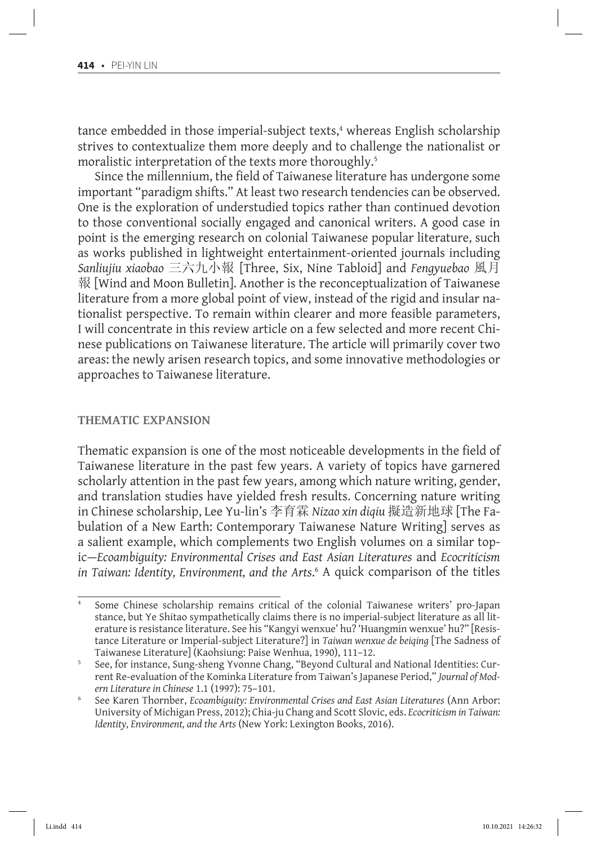tance embedded in those imperial-subject texts,<sup>4</sup> whereas English scholarship strives to contextualize them more deeply and to challenge the nationalist or moralistic interpretation of the texts more thoroughly.<sup>5</sup>

Since the millennium, the field of Taiwanese literature has undergone some important "paradigm shifts." At least two research tendencies can be observed. One is the exploration of understudied topics rather than continued devotion to those conventional socially engaged and canonical writers. A good case in point is the emerging research on colonial Taiwanese popular literature, such as works published in lightweight entertainment-oriented journals including *Sanliujiu xiaobao* 三六九小報 [Three, Six, Nine Tabloid] and *Fengyuebao* 風月 報 [Wind and Moon Bulletin]. Another is the reconceptualization of Taiwanese literature from a more global point of view, instead of the rigid and insular nationalist perspective. To remain within clearer and more feasible parameters, I will concentrate in this review article on a few selected and more recent Chinese publications on Taiwanese literature. The article will primarily cover two areas: the newly arisen research topics, and some innovative methodologies or approaches to Taiwanese literature.

## **Thematic Expansion**

Thematic expansion is one of the most noticeable developments in the field of Taiwanese literature in the past few years. A variety of topics have garnered scholarly attention in the past few years, among which nature writing, gender, and translation studies have yielded fresh results. Concerning nature writing in Chinese scholarship, Lee Yu-lin's 李育霖 *Nizao xin diqiu* 擬造新地球 [The Fabulation of a New Earth: Contemporary Taiwanese Nature Writing] serves as a salient example, which complements two English volumes on a similar topic—*Ecoambiguity: Environmental Crises and East Asian Literatures* and *Ecocriticism in Taiwan: Identity, Environment, and the Arts*. 6 A quick comparison of the titles

<sup>4</sup> Some Chinese scholarship remains critical of the colonial Taiwanese writers' pro-Japan stance, but Ye Shitao sympathetically claims there is no imperial-subject literature as all literature is resistance literature. See his "Kangyi wenxue' hu? 'Huangmin wenxue' hu?" [Resistance Literature or Imperial-subject Literature?] in *Taiwan wenxue de beiqing* [The Sadness of Taiwanese Literature] (Kaohsiung: Paise Wenhua, 1990), 111–12.

<sup>5</sup> See, for instance, Sung-sheng Yvonne Chang, "Beyond Cultural and National Identities: Current Re-evaluation of the Kominka Literature from Taiwan's Japanese Period," *Journal of Mod-*

<sup>&</sup>lt;sup>6</sup> See Karen Thornber, *Ecoambiguity: Environmental Crises and East Asian Literatures* (Ann Arbor: University of Michigan Press, 2012); Chia-ju Chang and Scott Slovic, eds. *Ecocriticism in Taiwan: Identity, Environment, and the Arts* (New York: Lexington Books, 2016).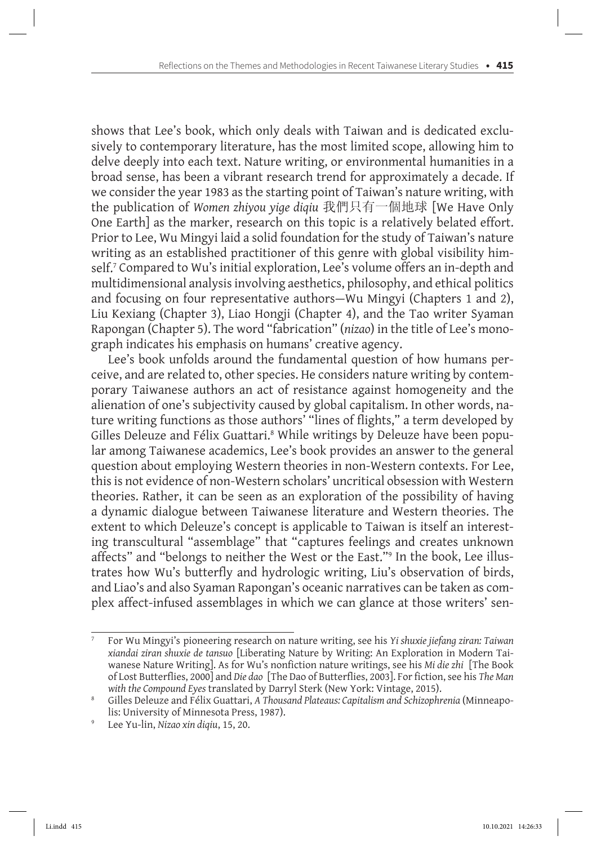shows that Lee's book, which only deals with Taiwan and is dedicated exclusively to contemporary literature, has the most limited scope, allowing him to delve deeply into each text. Nature writing, or environmental humanities in a broad sense, has been a vibrant research trend for approximately a decade. If we consider the year 1983 as the starting point of Taiwan's nature writing, with the publication of *Women zhiyou yige diqiu* 我們只有一個地球 [We Have Only One Earth] as the marker, research on this topic is a relatively belated effort. Prior to Lee, Wu Mingyi laid a solid foundation for the study of Taiwan's nature writing as an established practitioner of this genre with global visibility himself.<sup>7</sup> Compared to Wu's initial exploration, Lee's volume offers an in-depth and multidimensional analysis involving aesthetics, philosophy, and ethical politics and focusing on four representative authors—Wu Mingyi (Chapters 1 and 2), Liu Kexiang (Chapter 3), Liao Hongji (Chapter 4), and the Tao writer Syaman Rapongan (Chapter 5). The word "fabrication" (*nizao*) in the title of Lee's monograph indicates his emphasis on humans' creative agency.

Lee's book unfolds around the fundamental question of how humans perceive, and are related to, other species. He considers nature writing by contemporary Taiwanese authors an act of resistance against homogeneity and the alienation of one's subjectivity caused by global capitalism. In other words, nature writing functions as those authors' "lines of flights," a term developed by Gilles Deleuze and Félix Guattari.<sup>8</sup> While writings by Deleuze have been popular among Taiwanese academics, Lee's book provides an answer to the general question about employing Western theories in non-Western contexts. For Lee, this is not evidence of non-Western scholars' uncritical obsession with Western theories. Rather, it can be seen as an exploration of the possibility of having a dynamic dialogue between Taiwanese literature and Western theories. The extent to which Deleuze's concept is applicable to Taiwan is itself an interesting transcultural "assemblage" that "captures feelings and creates unknown affects" and "belongs to neither the West or the East."9 In the book, Lee illustrates how Wu's butterfly and hydrologic writing, Liu's observation of birds, and Liao's and also Syaman Rapongan's oceanic narratives can be taken as complex affect-infused assemblages in which we can glance at those writers' sen-

<sup>7</sup> For Wu Mingyi's pioneering research on nature writing, see his *Yi shuxie jiefang ziran: Taiwan xiandai ziran shuxie de tansuo* [Liberating Nature by Writing: An Exploration in Modern Taiwanese Nature Writing]. As for Wu's nonfiction nature writings, see his *Mi die zhi* [The Book of Lost Butterflies, 2000] and *Die dao* [The Dao of Butterflies, 2003]. For fiction,see his *The Man with the Compound Eyes* translated by Darryl Sterk (New York: Vintage, 2015).

<sup>8</sup> Gilles Deleuze and Félix Guattari, *A Thousand Plateaus: Capitalism and Schizophrenia* (Minneapolis: University of Minnesota Press, 1987).

<sup>9</sup> Lee Yu-lin, *Nizao xin diqiu*, 15, 20.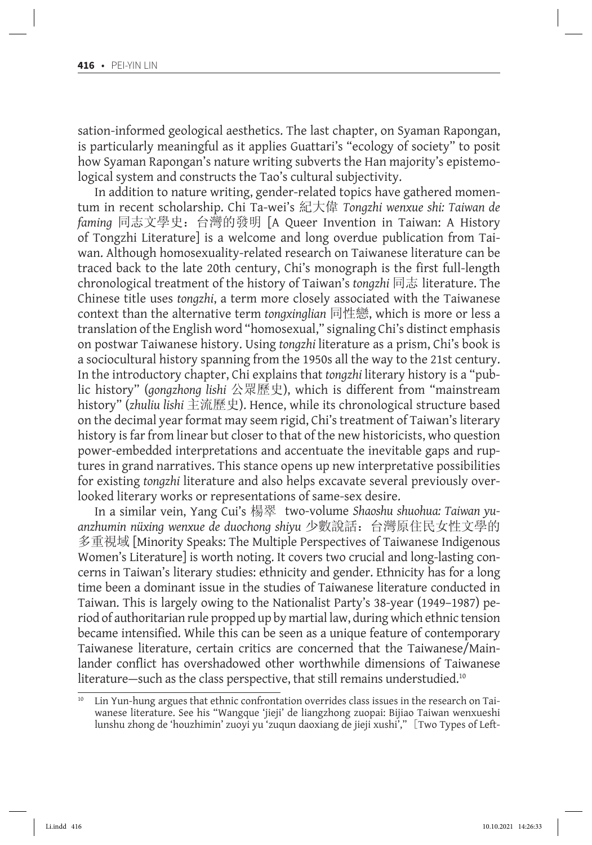sation-informed geological aesthetics. The last chapter, on Syaman Rapongan, is particularly meaningful as it applies Guattari's "ecology of society" to posit how Syaman Rapongan's nature writing subverts the Han majority's epistemological system and constructs the Tao's cultural subjectivity.

In addition to nature writing, gender-related topics have gathered momentum in recent scholarship. Chi Ta-wei's 紀大偉 *Tongzhi wenxue shi: Taiwan de faming* 同志文學史:台灣的發明 [A Queer Invention in Taiwan: A History of Tongzhi Literature] is a welcome and long overdue publication from Taiwan. Although homosexuality-related research on Taiwanese literature can be traced back to the late 20th century, Chi's monograph is the first full-length chronological treatment of the history of Taiwan's *tongzhi* 同志 literature. The Chinese title uses *tongzhi*, a term more closely associated with the Taiwanese context than the alternative term *tongxinglian* 同性戀, which is more or less a translation of the English word "homosexual," signaling Chi's distinct emphasis on postwar Taiwanese history. Using *tongzhi* literature as a prism, Chi's book is a sociocultural history spanning from the 1950s all the way to the 21st century. In the introductory chapter, Chi explains that *tongzhi* literary history is a "public history" (*gongzhong lishi* 公眾歷史), which is different from "mainstream history" (*zhuliu lishi* 主流歷史). Hence, while its chronological structure based on the decimal year format may seem rigid, Chi's treatment of Taiwan's literary history is far from linear but closer to that of the new historicists, who question power-embedded interpretations and accentuate the inevitable gaps and ruptures in grand narratives. This stance opens up new interpretative possibilities for existing *tongzhi* literature and also helps excavate several previously overlooked literary works or representations of same-sex desire.

In a similar vein, Yang Cui's 楊翠 two-volume *Shaoshu shuohua: Taiwan yuanzhumin nüxing wenxue de duochong shiyu* 少數說話:台灣原住民女性文學的 多重視域 [Minority Speaks: The Multiple Perspectives of Taiwanese Indigenous Women's Literature] is worth noting. It covers two crucial and long-lasting concerns in Taiwan's literary studies: ethnicity and gender. Ethnicity has for a long time been a dominant issue in the studies of Taiwanese literature conducted in Taiwan. This is largely owing to the Nationalist Party's 38-year (1949–1987) period of authoritarian rule propped up by martial law, during which ethnic tension became intensified. While this can be seen as a unique feature of contemporary Taiwanese literature, certain critics are concerned that the Taiwanese/Mainlander conflict has overshadowed other worthwhile dimensions of Taiwanese literature—such as the class perspective, that still remains understudied.<sup>10</sup>

<sup>&</sup>lt;sup>10</sup> Lin Yun-hung argues that ethnic confrontation overrides class issues in the research on Taiwanese literature. See his "Wangque 'jieji' de liangzhong zuopai: Bijiao Taiwan wenxueshi lunshu zhong de 'houzhimin' zuoyi yu 'zuqun daoxiang de jieji xushi'," [Two Types of Left-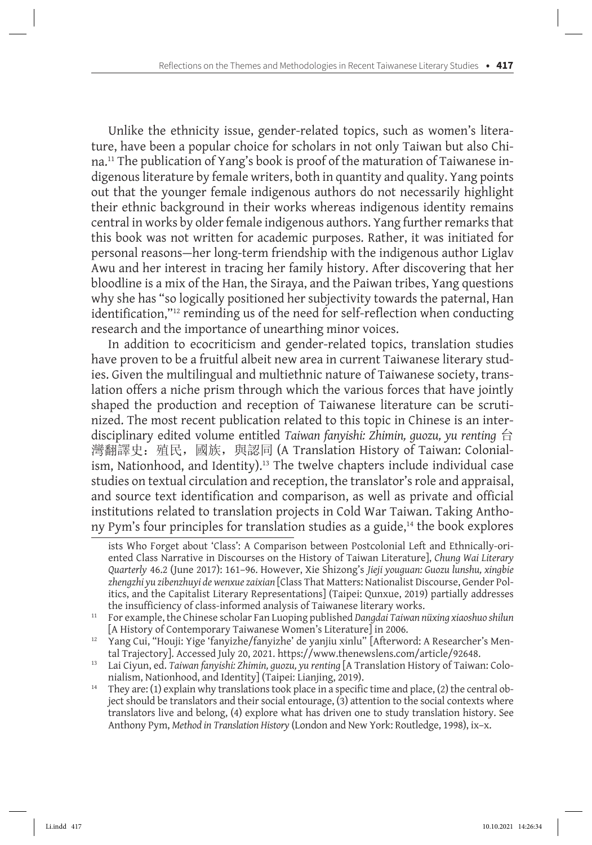Unlike the ethnicity issue, gender-related topics, such as women's literature, have been a popular choice for scholars in not only Taiwan but also China.11 The publication of Yang's book is proof of the maturation of Taiwanese indigenous literature by female writers, both in quantity and quality. Yang points out that the younger female indigenous authors do not necessarily highlight their ethnic background in their works whereas indigenous identity remains central in works by older female indigenous authors. Yang further remarks that this book was not written for academic purposes. Rather, it was initiated for personal reasons—her long-term friendship with the indigenous author Liglav Awu and her interest in tracing her family history. After discovering that her bloodline is a mix of the Han, the Siraya, and the Paiwan tribes, Yang questions why she has "so logically positioned her subjectivity towards the paternal, Han identification,"<sup>12</sup> reminding us of the need for self-reflection when conducting research and the importance of unearthing minor voices.

In addition to ecocriticism and gender-related topics, translation studies have proven to be a fruitful albeit new area in current Taiwanese literary studies. Given the multilingual and multiethnic nature of Taiwanese society, translation offers a niche prism through which the various forces that have jointly shaped the production and reception of Taiwanese literature can be scrutinized. The most recent publication related to this topic in Chinese is an interdisciplinary edited volume entitled *Taiwan fanyishi: Zhimin, guozu, yu renting* 台 灣翻譯史: 殖民, 國族, 與認同 (A Translation History of Taiwan: Colonialism, Nationhood, and Identity).<sup>13</sup> The twelve chapters include individual case studies on textual circulation and reception, the translator's role and appraisal, and source text identification and comparison, as well as private and official institutions related to translation projects in Cold War Taiwan. Taking Anthony Pym's four principles for translation studies as a guide,<sup>14</sup> the book explores

ists Who Forget about 'Class': A Comparison between Postcolonial Left and Ethnically-oriented Class Narrative in Discourses on the History of Taiwan Literature], *Chung Wai Literary Quarterly* 46.2 (June 2017): 161–96. However, Xie Shizong's *Jieji youguan: Guozu lunshu, xingbie zhengzhi yu zibenzhuyi de wenxue zaixian* [Class That Matters: Nationalist Discourse, Gender Politics, and the Capitalist Literary Representations] (Taipei: Qunxue, 2019) partially addresses the insufficiency of class-informed analysis of Taiwanese literary works.

<sup>&</sup>lt;sup>11</sup> For example, the Chinese scholar Fan Luoping published *Dangdai Taiwan nüxing xiaoshuo shilun* [A History of Contemporary Taiwanese Women's Literature] in 2006.

<sup>&</sup>lt;sup>12</sup> Yang Cui, "Houji: Yige 'fanyizhe/fanyizhe' de yanjiu xinlu" [Afterword: A Researcher's Mental Trajectory]. Accessed July 20, 2021. https://www.thenewslens.com/article/92648.

<sup>&</sup>lt;sup>13</sup> Lai Ciyun, ed. *Taiwan fanyishi: Zhimin, guozu, yu renting* [A Translation History of Taiwan: Colonialism, Nationhood, and Identity] (Taipei: Lianjing, 2019).

<sup>&</sup>lt;sup>14</sup> They are: (1) explain why translations took place in a specific time and place, (2) the central object should be translators and their social entourage, (3) attention to the social contexts where translators live and belong, (4) explore what has driven one to study translation history. See Anthony Pym, *Method in Translation History* (London and New York: Routledge, 1998), ix–x.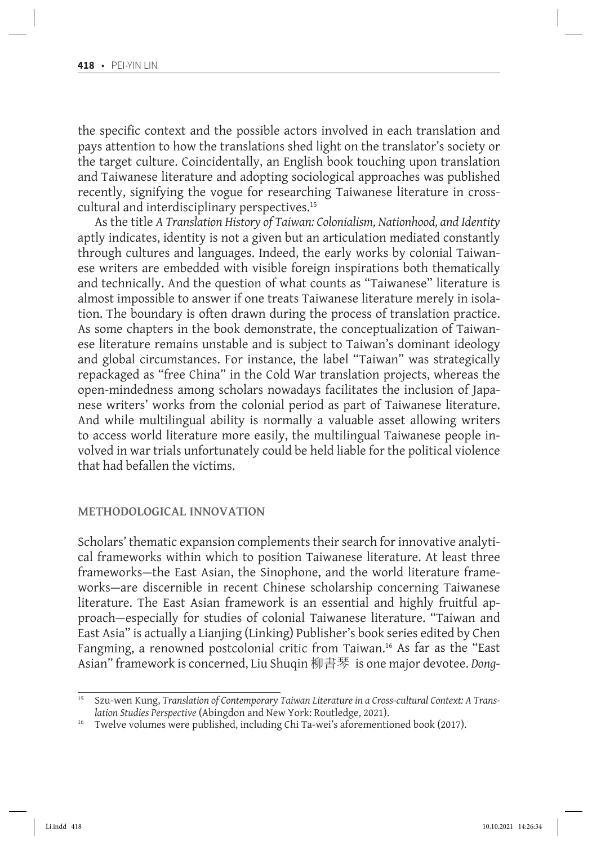the specific context and the possible actors involved in each translation and pays attention to how the translations shed light on the translator's society or the target culture. Coincidentally, an English book touching upon translation and Taiwanese literature and adopting sociological approaches was published recently, signifying the vogue for researching Taiwanese literature in crosscultural and interdisciplinary perspectives.15

As the title *A Translation History of Taiwan: Colonialism, Nationhood, and Identity* aptly indicates, identity is not a given but an articulation mediated constantly through cultures and languages. Indeed, the early works by colonial Taiwanese writers are embedded with visible foreign inspirations both thematically and technically. And the question of what counts as "Taiwanese" literature is almost impossible to answer if one treats Taiwanese literature merely in isolation. The boundary is often drawn during the process of translation practice. As some chapters in the book demonstrate, the conceptualization of Taiwanese literature remains unstable and is subject to Taiwan's dominant ideology and global circumstances. For instance, the label "Taiwan" was strategically repackaged as "free China" in the Cold War translation projects, whereas the open-mindedness among scholars nowadays facilitates the inclusion of Japanese writers' works from the colonial period as part of Taiwanese literature. And while multilingual ability is normally a valuable asset allowing writers to access world literature more easily, the multilingual Taiwanese people involved in war trials unfortunately could be held liable for the political violence that had befallen the victims.

#### **Methodological Innovation**

Scholars' thematic expansion complements their search for innovative analytical frameworks within which to position Taiwanese literature. At least three frameworks—the East Asian, the Sinophone, and the world literature frameworks—are discernible in recent Chinese scholarship concerning Taiwanese literature. The East Asian framework is an essential and highly fruitful approach—especially for studies of colonial Taiwanese literature. "Taiwan and East Asia" is actually a Lianjing (Linking) Publisher's book series edited by Chen Fangming, a renowned postcolonial critic from Taiwan.<sup>16</sup> As far as the "East Asian" framework is concerned, Liu Shuqin 柳書琴 is one major devotee. *Dong-*

<sup>15</sup> Szu-wen Kung, *Translation of Contemporary Taiwan Literature in a Cross-cultural Context: A Translation Studies Perspective* (Abingdon and New York: Routledge, 2021).

Twelve volumes were published, including Chi Ta-wei's aforementioned book (2017).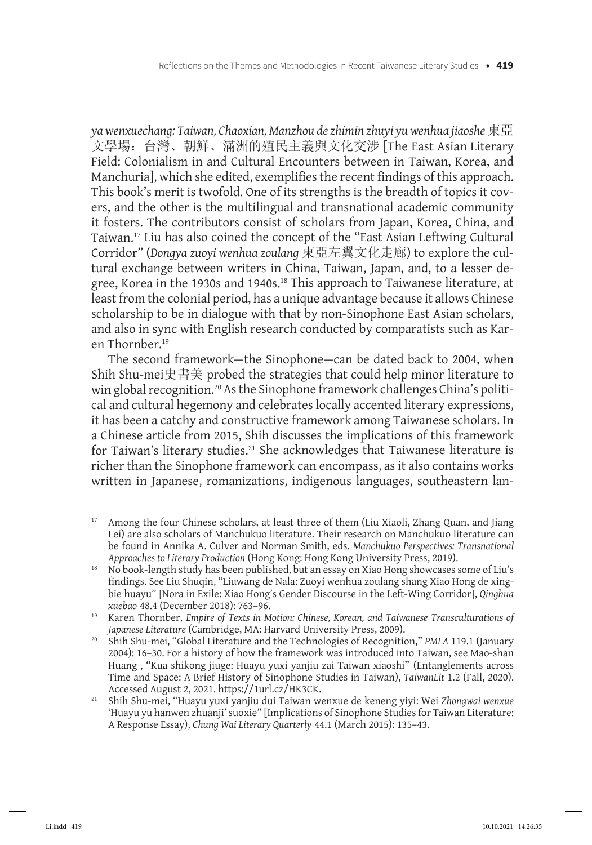*ya wenxuechang: Taiwan, Chaoxian, Manzhou de zhimin zhuyi yu wenhua jiaoshe* 東亞 文學場:台灣、朝鮮、滿洲的殖民主義與文化交涉 [The East Asian Literary Field: Colonialism in and Cultural Encounters between in Taiwan, Korea, and Manchuria], which she edited, exemplifies the recent findings of this approach. This book's merit is twofold. One of its strengths is the breadth of topics it covers, and the other is the multilingual and transnational academic community it fosters. The contributors consist of scholars from Japan, Korea, China, and Taiwan.17 Liu has also coined the concept of the "East Asian Leftwing Cultural Corridor" (*Dongya zuoyi wenhua zoulang* 東亞左翼文化走廊) to explore the cultural exchange between writers in China, Taiwan, Japan, and, to a lesser degree, Korea in the 1930s and 1940s.<sup>18</sup> This approach to Taiwanese literature, at least from the colonial period, has a unique advantage because it allows Chinese scholarship to be in dialogue with that by non-Sinophone East Asian scholars, and also in sync with English research conducted by comparatists such as Karen Thornber.19

The second framework—the Sinophone—can be dated back to 2004, when Shih Shu-mei史書美 probed the strategies that could help minor literature to win global recognition.<sup>20</sup> As the Sinophone framework challenges China's political and cultural hegemony and celebrates locally accented literary expressions, it has been a catchy and constructive framework among Taiwanese scholars. In a Chinese article from 2015, Shih discusses the implications of this framework for Taiwan's literary studies.<sup>21</sup> She acknowledges that Taiwanese literature is richer than the Sinophone framework can encompass, as it also contains works written in Japanese, romanizations, indigenous languages, southeastern lan-

<sup>&</sup>lt;sup>17</sup> Among the four Chinese scholars, at least three of them (Liu Xiaoli, Zhang Quan, and Jiang Lei) are also scholars of Manchukuo literature. Their research on Manchukuo literature can be found in Annika A. Culver and Norman Smith, eds. *Manchukuo Perspectives: Transnational Approaches to Literary Production* (Hong Kong: Hong Kong University Press, 2019).

<sup>&</sup>lt;sup>18</sup> No book-length study has been published, but an essay on Xiao Hong showcases some of Liu's findings. See Liu Shuqin, "Liuwang de Nala: Zuoyi wenhua zoulang shang Xiao Hong de xingbie huayu" [Nora in Exile: Xiao Hong's Gender Discourse in the Left-Wing Corridor], *Qinghua xuebao* 48.4 (December 2018): 763–96.

<sup>19</sup> Karen Thornber, *Empire of Texts in Motion: Chinese, Korean, and Taiwanese Transculturations of Japanese Literature* (Cambridge, MA: Harvard University Press, 2009).

<sup>20</sup> Shih Shu-mei, "Global Literature and the Technologies of Recognition," *PMLA* 119.1 (January 2004): 16–30. For a history of how the framework was introduced into Taiwan, see Mao-shan Huang , "Kua shikong jiuge: Huayu yuxi yanjiu zai Taiwan xiaoshi" (Entanglements across Time and Space: A Brief History of Sinophone Studies in Taiwan), *TaiwanLit* 1.2 (Fall, 2020). Accessed August 2, 2021. https://1url.cz/HK3CK.

<sup>21</sup> Shih Shu-mei, "Huayu yuxi yanjiu dui Taiwan wenxue de keneng yiyi: Wei *Zhongwai wenxue* 'Huayu yu hanwen zhuanji' suoxie" [Implications of Sinophone Studies for Taiwan Literature: A Response Essay), *Chung Wai Literary Quarterly* 44.1 (March 2015): 135–43.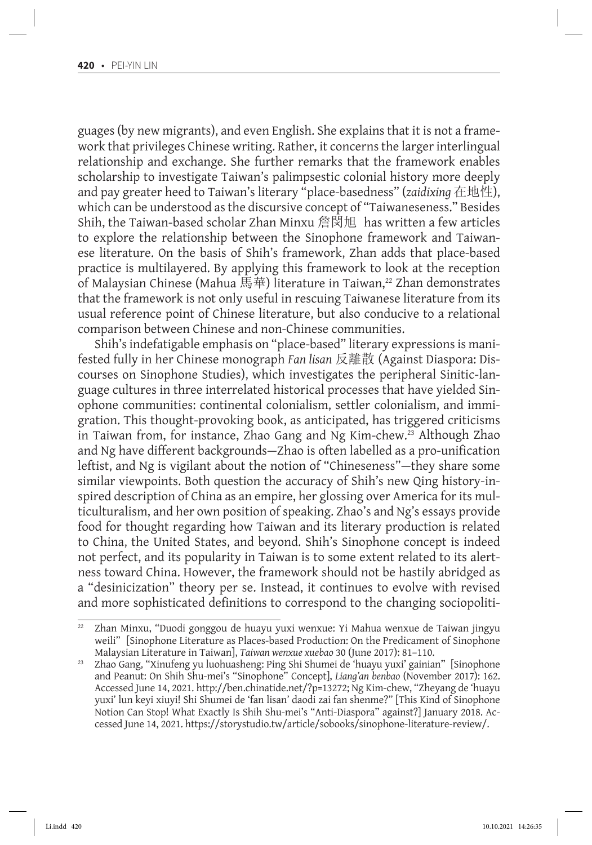guages (by new migrants), and even English. She explains that it is not a framework that privileges Chinese writing. Rather, it concerns the larger interlingual relationship and exchange. She further remarks that the framework enables scholarship to investigate Taiwan's palimpsestic colonial history more deeply and pay greater heed to Taiwan's literary "place-basedness" (*zaidixing* 在地性), which can be understood as the discursive concept of "Taiwaneseness." Besides Shih, the Taiwan-based scholar Zhan Minxu 詹閔旭 has written a few articles to explore the relationship between the Sinophone framework and Taiwanese literature. On the basis of Shih's framework, Zhan adds that place-based practice is multilayered. By applying this framework to look at the reception of Malaysian Chinese (Mahua 馬華) literature in Taiwan,<sup>22</sup> Zhan demonstrates that the framework is not only useful in rescuing Taiwanese literature from its usual reference point of Chinese literature, but also conducive to a relational comparison between Chinese and non-Chinese communities.

Shih's indefatigable emphasis on "place-based" literary expressions is manifested fully in her Chinese monograph *Fan lisan* 反離散 (Against Diaspora: Discourses on Sinophone Studies), which investigates the peripheral Sinitic-language cultures in three interrelated historical processes that have yielded Sinophone communities: continental colonialism, settler colonialism, and immigration. This thought-provoking book, as anticipated, has triggered criticisms in Taiwan from, for instance, Zhao Gang and Ng Kim-chew.<sup>23</sup> Although Zhao and Ng have different backgrounds—Zhao is often labelled as a pro-unification leftist, and Ng is vigilant about the notion of "Chineseness"—they share some similar viewpoints. Both question the accuracy of Shih's new Qing history-inspired description of China as an empire, her glossing over America for its multiculturalism, and her own position of speaking. Zhao's and Ng's essays provide food for thought regarding how Taiwan and its literary production is related to China, the United States, and beyond. Shih's Sinophone concept is indeed not perfect, and its popularity in Taiwan is to some extent related to its alertness toward China. However, the framework should not be hastily abridged as a "desinicization" theory per se. Instead, it continues to evolve with revised and more sophisticated definitions to correspond to the changing sociopoliti-

 $\overline{22}$  Zhan Minxu, "Duodi gonggou de huayu yuxi wenxue: Yi Mahua wenxue de Taiwan jingyu weili" [Sinophone Literature as Places-based Production: On the Predicament of Sinophone<br>Malaysian Literature in Taiwan], Taiwan wenxue xuebao 30 (June 2017): 81-110.

<sup>&</sup>lt;sup>23</sup> Zhao Gang, "Xinufeng yu luohuasheng: Ping Shi Shumei de 'huayu yuxi' gainian" [Sinophone and Peanut: On Shih Shu-mei's "Sinophone" Concept], *Liang'an benbao* (November 2017): 162. Accessed June 14, 2021. http://ben.chinatide.net/?p=13272; Ng Kim-chew, "Zheyang de 'huayu yuxi' lun keyi xiuyi! Shi Shumei de 'fan lisan' daodi zai fan shenme?" [This Kind of Sinophone Notion Can Stop! What Exactly Is Shih Shu-mei's "Anti-Diaspora" against?] January 2018. Accessed June 14, 2021. https://storystudio.tw/article/sobooks/sinophone-literature-review/.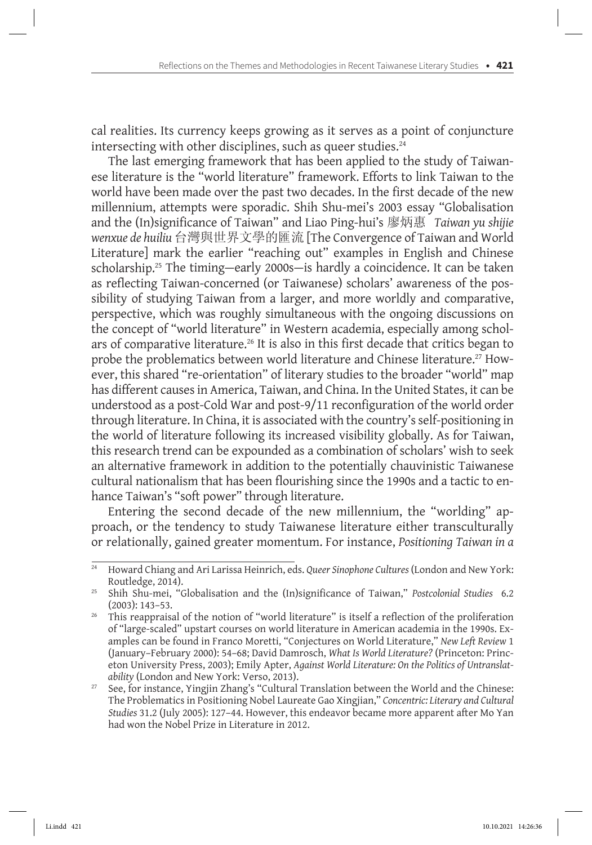cal realities. Its currency keeps growing as it serves as a point of conjuncture intersecting with other disciplines, such as queer studies. $24$ 

The last emerging framework that has been applied to the study of Taiwanese literature is the "world literature" framework. Efforts to link Taiwan to the world have been made over the past two decades. In the first decade of the new millennium, attempts were sporadic. Shih Shu-mei's 2003 essay "Globalisation and the (In)significance of Taiwan" and Liao Ping-hui's 廖炳惠 *Taiwan yu shijie wenxue de huiliu* 台灣與世界文學的匯流 [The Convergence of Taiwan and World Literature] mark the earlier "reaching out" examples in English and Chinese scholarship.25 The timing—early 2000s—is hardly a coincidence. It can be taken as reflecting Taiwan-concerned (or Taiwanese) scholars' awareness of the possibility of studying Taiwan from a larger, and more worldly and comparative, perspective, which was roughly simultaneous with the ongoing discussions on the concept of "world literature" in Western academia, especially among scholars of comparative literature.<sup>26</sup> It is also in this first decade that critics began to probe the problematics between world literature and Chinese literature.27 However, this shared "re-orientation" of literary studies to the broader "world" map has different causes in America, Taiwan, and China. In the United States, it can be understood as a post-Cold War and post-9/11 reconfiguration of the world order through literature. In China, it is associated with the country'sself-positioning in the world of literature following its increased visibility globally. As for Taiwan, this research trend can be expounded as a combination of scholars' wish to seek an alternative framework in addition to the potentially chauvinistic Taiwanese cultural nationalism that has been flourishing since the 1990s and a tactic to enhance Taiwan's "soft power" through literature.

Entering the second decade of the new millennium, the "worlding" approach, or the tendency to study Taiwanese literature either transculturally or relationally, gained greater momentum. For instance, *Positioning Taiwan in a* 

<sup>&</sup>lt;sup>24</sup> Howard Chiang and Ari Larissa Heinrich, eds. *Queer Sinophone Cultures* (London and New York:

Routledge, 2014). 25 Shih Shu-mei, "Globalisation and the (In)significance of Taiwan," *Postcolonial Studies* 6.2 (2003): 143–53.

<sup>&</sup>lt;sup>26</sup> This reappraisal of the notion of "world literature" is itself a reflection of the proliferation of "large-scaled" upstart courses on world literature in American academia in the 1990s. Examples can be found in Franco Moretti, "Conjectures on World Literature," *New Left Review* 1 (January–February 2000): 54–68; David Damrosch, *What Is World Literature?* (Princeton: Princeton University Press, 2003); Emily Apter, *Against World Literature: On the Politics of Untranslatability* (London and New York: Verso, 2013).

<sup>&</sup>lt;sup>27</sup> See, for instance, Yingjin Zhang's "Cultural Translation between the World and the Chinese: The Problematicsin Positioning Nobel Laureate Gao Xingjian," *Concentric: Literary and Cultural Studies* 31.2 (July 2005): 127–44. However, this endeavor became more apparent after Mo Yan had won the Nobel Prize in Literature in 2012.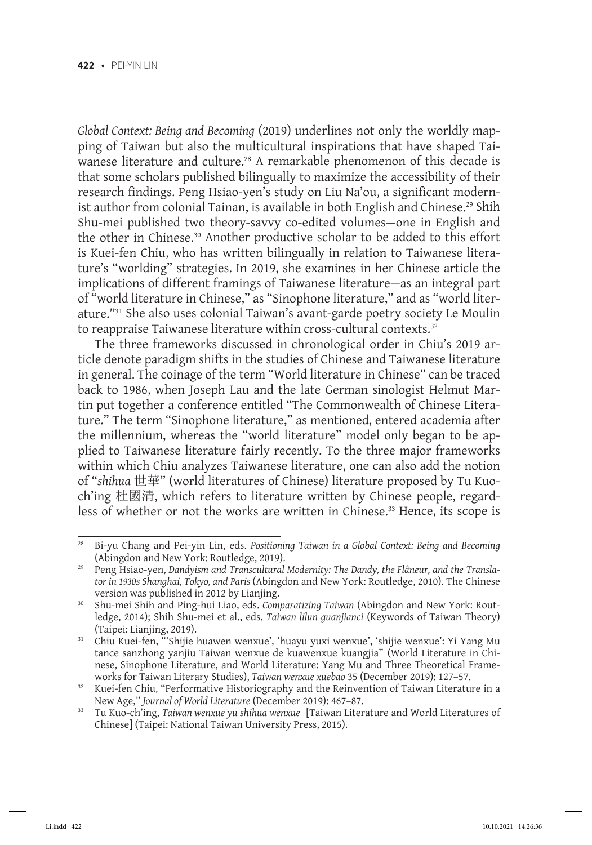*Global Context: Being and Becoming* (2019) underlines not only the worldly mapping of Taiwan but also the multicultural inspirations that have shaped Taiwanese literature and culture.<sup>28</sup> A remarkable phenomenon of this decade is that some scholars published bilingually to maximize the accessibility of their research findings. Peng Hsiao-yen's study on Liu Na'ou, a significant modernist author from colonial Tainan, is available in both English and Chinese.<sup>29</sup> Shih Shu-mei published two theory-savvy co-edited volumes—one in English and the other in Chinese.30 Another productive scholar to be added to this effort is Kuei-fen Chiu, who has written bilingually in relation to Taiwanese literature's "worlding" strategies. In 2019, she examines in her Chinese article the implications of different framings of Taiwanese literature—as an integral part of "world literature in Chinese," as "Sinophone literature," and as "world literature."31 She also uses colonial Taiwan's avant-garde poetry society Le Moulin to reappraise Taiwanese literature within cross-cultural contexts.<sup>32</sup>

The three frameworks discussed in chronological order in Chiu's 2019 article denote paradigm shifts in the studies of Chinese and Taiwanese literature in general. The coinage of the term "World literature in Chinese" can be traced back to 1986, when Joseph Lau and the late German sinologist Helmut Martin put together a conference entitled "The Commonwealth of Chinese Literature." The term "Sinophone literature," as mentioned, entered academia after the millennium, whereas the "world literature" model only began to be applied to Taiwanese literature fairly recently. To the three major frameworks within which Chiu analyzes Taiwanese literature, one can also add the notion of "*shihua* 世華" (world literatures of Chinese) literature proposed by Tu Kuoch'ing 杜國清, which refers to literature written by Chinese people, regardless of whether or not the works are written in Chinese.<sup>33</sup> Hence, its scope is

<sup>&</sup>lt;sup>28</sup> Bi-yu Chang and Pei-yin Lin, eds. *Positioning Taiwan in a Global Context: Being and Becoming* (Abingdon and New York: Routledge, 2019).

Peng Hsiao-yen, Dandyism and Transcultural Modernity: The Dandy, the Flâneur, and the Transla*tor in 1930s Shanghai, Tokyo, and Paris* (Abingdon and New York: Routledge, 2010). The Chinese version was published in 2012 by Lianjing.

<sup>30</sup> Shu-mei Shih and Ping-hui Liao, eds. *Comparatizing Taiwan* (Abingdon and New York: Routledge, 2014); Shih Shu-mei et al., eds. *Taiwan lilun guanjianci* (Keywords of Taiwan Theory) (Taipei: Lianjing, 2019).

 $31$  Chiu Kuei-fen, "'Shijie huawen wenxue', 'huayu yuxi wenxue', 'shijie wenxue': Yi Yang Mu tance sanzhong yanjiu Taiwan wenxue de kuawenxue kuangjia" (World Literature in Chinese, Sinophone Literature, and World Literature: Yang Mu and Three Theoretical Frameworks for Taiwan Literary Studies), *Taiwan wenxue xuebao* 35 (December 2019): 127–57.

 $32$  Kuei-fen Chiu, "Performative Historiography and the Reinvention of Taiwan Literature in a New Age," *Journal of World Literature* (December 2019): 467–87.

<sup>33</sup> Tu Kuo-ch'ing, *Taiwan wenxue yu shihua wenxue* [Taiwan Literature and World Literatures of Chinese] (Taipei: National Taiwan University Press, 2015).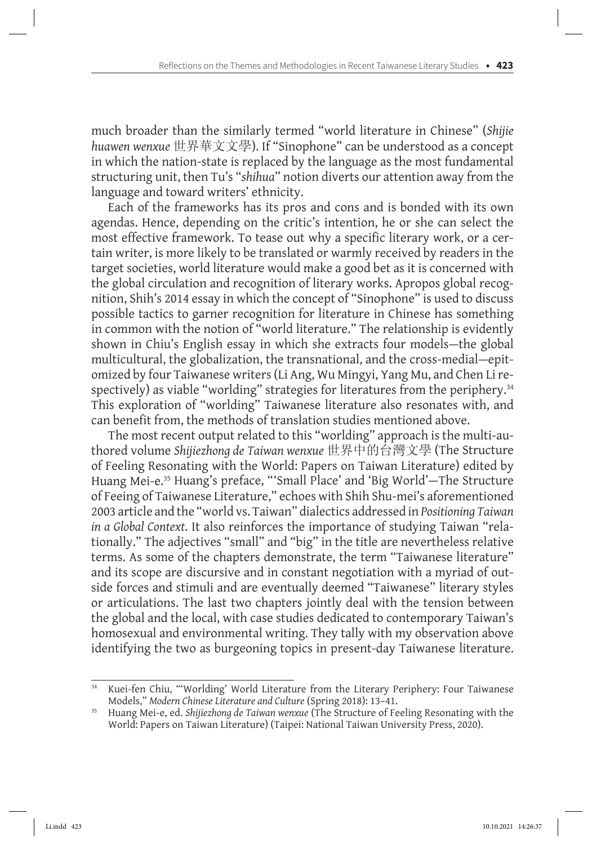much broader than the similarly termed "world literature in Chinese" (*Shijie huawen wenxue* 世界華文文學). If "Sinophone" can be understood as a concept in which the nation-state is replaced by the language as the most fundamental structuring unit, then Tu's "*shihua*" notion diverts our attention away from the language and toward writers' ethnicity.

Each of the frameworks has its pros and cons and is bonded with its own agendas. Hence, depending on the critic's intention, he or she can select the most effective framework. To tease out why a specific literary work, or a certain writer, is more likely to be translated or warmly received by readers in the target societies, world literature would make a good bet as it is concerned with the global circulation and recognition of literary works. Apropos global recognition, Shih's 2014 essay in which the concept of "Sinophone" is used to discuss possible tactics to garner recognition for literature in Chinese has something in common with the notion of "world literature." The relationship is evidently shown in Chiu's English essay in which she extracts four models—the global multicultural, the globalization, the transnational, and the cross-medial—epitomized by four Taiwanese writers(Li Ang, Wu Mingyi, Yang Mu, and Chen Lirespectively) as viable "worlding" strategies for literatures from the periphery.<sup>34</sup> This exploration of "worlding" Taiwanese literature also resonates with, and can benefit from, the methods of translation studies mentioned above.

The most recent output related to this "worlding" approach is the multi-authored volume *Shijiezhong de Taiwan wenxue* 世界中的台灣文學 (The Structure of Feeling Resonating with the World: Papers on Taiwan Literature) edited by Huang Mei-e.<sup>35</sup> Huang's preface, "'Small Place' and 'Big World'—The Structure of Feeing of Taiwanese Literature," echoes with Shih Shu-mei's aforementioned 2003 article and the "world vs. Taiwan" dialectics addressed in *Positioning Taiwan in a Global Context*. It also reinforces the importance of studying Taiwan "relationally." The adjectives "small" and "big" in the title are nevertheless relative terms. As some of the chapters demonstrate, the term "Taiwanese literature" and its scope are discursive and in constant negotiation with a myriad of outside forces and stimuli and are eventually deemed "Taiwanese" literary styles or articulations. The last two chapters jointly deal with the tension between the global and the local, with case studies dedicated to contemporary Taiwan's homosexual and environmental writing. They tally with my observation above identifying the two as burgeoning topics in present-day Taiwanese literature.

Kuei-fen Chiu, "'Worlding' World Literature from the Literary Periphery: Four Taiwanese Models," Modern Chinese Literature and Culture (Spring 2018): 13-41.

<sup>&</sup>lt;sup>35</sup> Huang Mei-e, ed. Shijiezhong de Taiwan wenxue (The Structure of Feeling Resonating with the World: Papers on Taiwan Literature) (Taipei: National Taiwan University Press, 2020).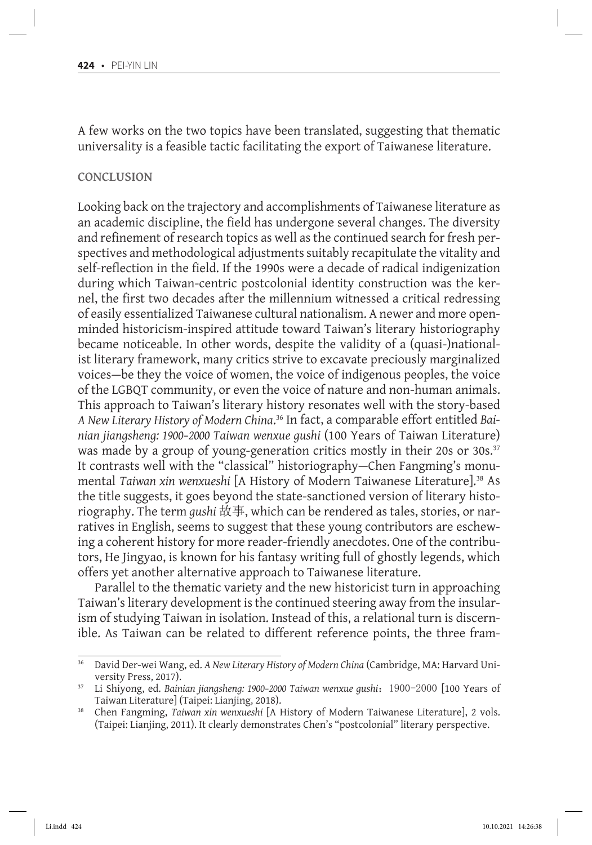A few works on the two topics have been translated, suggesting that thematic universality is a feasible tactic facilitating the export of Taiwanese literature.

#### **Conclusion**

Looking back on the trajectory and accomplishments of Taiwanese literature as an academic discipline, the field has undergone several changes. The diversity and refinement of research topics as well as the continued search for fresh perspectives and methodological adjustments suitably recapitulate the vitality and self-reflection in the field. If the 1990s were a decade of radical indigenization during which Taiwan-centric postcolonial identity construction was the kernel, the first two decades after the millennium witnessed a critical redressing of easily essentialized Taiwanese cultural nationalism. A newer and more openminded historicism-inspired attitude toward Taiwan's literary historiography became noticeable. In other words, despite the validity of a (quasi-)nationalist literary framework, many critics strive to excavate preciously marginalized voices—be they the voice of women, the voice of indigenous peoples, the voice of the LGBQT community, or even the voice of nature and non-human animals. This approach to Taiwan's literary history resonates well with the story-based *A New Literary History of Modern China*. <sup>36</sup> In fact, a comparable effort entitled *Bainian jiangsheng: 1900–2000 Taiwan wenxue gushi* (100 Years of Taiwan Literature) was made by a group of young-generation critics mostly in their 20s or 30s.<sup>37</sup> It contrasts well with the "classical" historiography—Chen Fangming's monumental *Taiwan xin wenxueshi* [A History of Modern Taiwanese Literature].38 As the title suggests, it goes beyond the state-sanctioned version of literary historiography. The term *gushi* 故事, which can be rendered as tales, stories, or narratives in English, seems to suggest that these young contributors are eschewing a coherent history for more reader-friendly anecdotes. One of the contributors, He Jingyao, is known for his fantasy writing full of ghostly legends, which offers yet another alternative approach to Taiwanese literature.

Parallel to the thematic variety and the new historicist turn in approaching Taiwan's literary development is the continued steering away from the insularism of studying Taiwan in isolation. Instead of this, a relational turn is discernible. As Taiwan can be related to different reference points, the three fram-

<sup>&</sup>lt;sup>36</sup> David Der-wei Wang, ed. A New Literary History of Modern China (Cambridge, MA: Harvard University Press, 2017).

<sup>&</sup>lt;sup>37</sup> Li Shiyong, ed. *Bainian jiangsheng: 1900–2000 Taiwan wenxue gushi*: 1900–2000 [100 Years of Taiwan Literature] (Taipei: Lianjing, 2018).

<sup>38</sup> Chen Fangming, *Taiwan xin wenxueshi* [A History of Modern Taiwanese Literature], 2 vols. (Taipei: Lianjing, 2011). It clearly demonstrates Chen's "postcolonial" literary perspective.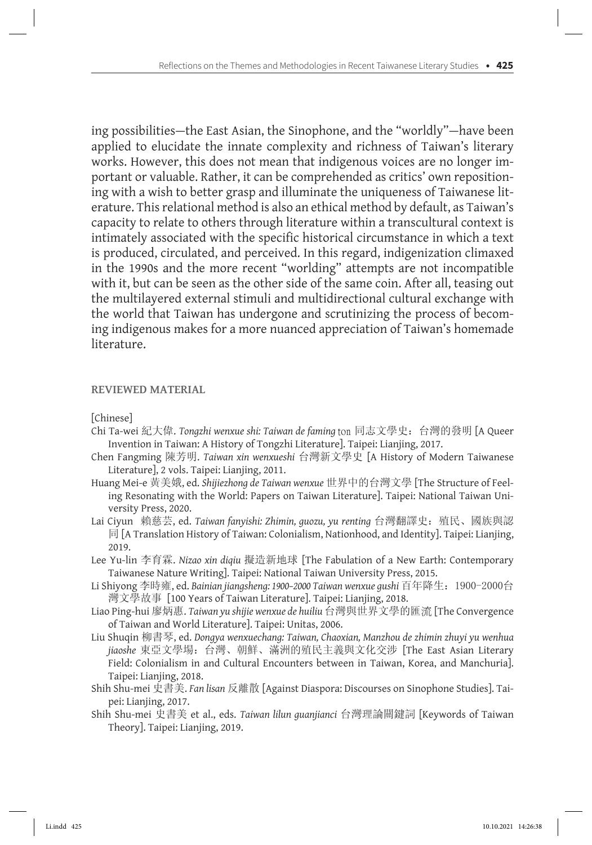ing possibilities—the East Asian, the Sinophone, and the "worldly"—have been applied to elucidate the innate complexity and richness of Taiwan's literary works. However, this does not mean that indigenous voices are no longer important or valuable. Rather, it can be comprehended as critics' own repositioning with a wish to better grasp and illuminate the uniqueness of Taiwanese literature. This relational method is also an ethical method by default, as Taiwan's capacity to relate to others through literature within a transcultural context is intimately associated with the specific historical circumstance in which a text is produced, circulated, and perceived. In this regard, indigenization climaxed in the 1990s and the more recent "worlding" attempts are not incompatible with it, but can be seen as the other side of the same coin. After all, teasing out the multilayered external stimuli and multidirectional cultural exchange with the world that Taiwan has undergone and scrutinizing the process of becoming indigenous makes for a more nuanced appreciation of Taiwan's homemade literature.

### **Reviewed Material**

[Chinese]

- Chi Ta-wei 紀大偉. *Tongzhi wenxue shi: Taiwan de faming* ton 同志文學史:台灣的發明 [A Queer Invention in Taiwan: A History of Tongzhi Literature]. Taipei: Lianjing, 2017.
- Chen Fangming 陳芳明. *Taiwan xin wenxueshi* 台灣新文學史 [A History of Modern Taiwanese Literature], 2 vols. Taipei: Lianjing, 2011.
- Huang Mei-e 黃美娥, ed. *Shijiezhong de Taiwan wenxue* 世界中的台灣文學 [The Structure of Feeling Resonating with the World: Papers on Taiwan Literature]. Taipei: National Taiwan University Press, 2020.
- Lai Ciyun 賴慈芸, ed. *Taiwan fanyishi: Zhimin, guozu, yu renting* 台灣翻譯史:殖民、國族與認 同 [A Translation History of Taiwan: Colonialism, Nationhood, and Identity]. Taipei: Lianjing, 2019.
- Lee Yu-lin 李育霖. *Nizao xin diqiu* 擬造新地球 [The Fabulation of a New Earth: Contemporary Taiwanese Nature Writing]. Taipei: National Taiwan University Press, 2015.
- Li Shiyong 李時雍, ed. *Bainian jiangsheng: 1900–2000 Taiwan wenxue gushi* 百年降生:1900-2000台 灣文學故事 [100 Years of Taiwan Literature]. Taipei: Lianjing, 2018.
- Liao Ping-hui 廖炳惠. *Taiwan yu shijie wenxue de huiliu* 台灣與世界文學的匯流 [The Convergence of Taiwan and World Literature]. Taipei: Unitas, 2006.
- Liu Shuqin 柳書琴, ed. *Dongya wenxuechang: Taiwan, Chaoxian, Manzhou de zhimin zhuyi yu wenhua jiaoshe* 東亞文學場:台灣、朝鮮、滿洲的殖民主義與文化交涉 [The East Asian Literary Field: Colonialism in and Cultural Encounters between in Taiwan, Korea, and Manchuria]. Taipei: Lianjing, 2018.
- Shih Shu-mei 史書美. *Fan lisan* 反離散 [Against Diaspora: Discourses on Sinophone Studies]. Taipei: Lianjing, 2017.
- Shih Shu-mei 史書美 et al., eds. *Taiwan lilun guanjianci* 台灣理論關鍵詞 [Keywords of Taiwan Theory]. Taipei: Lianjing, 2019.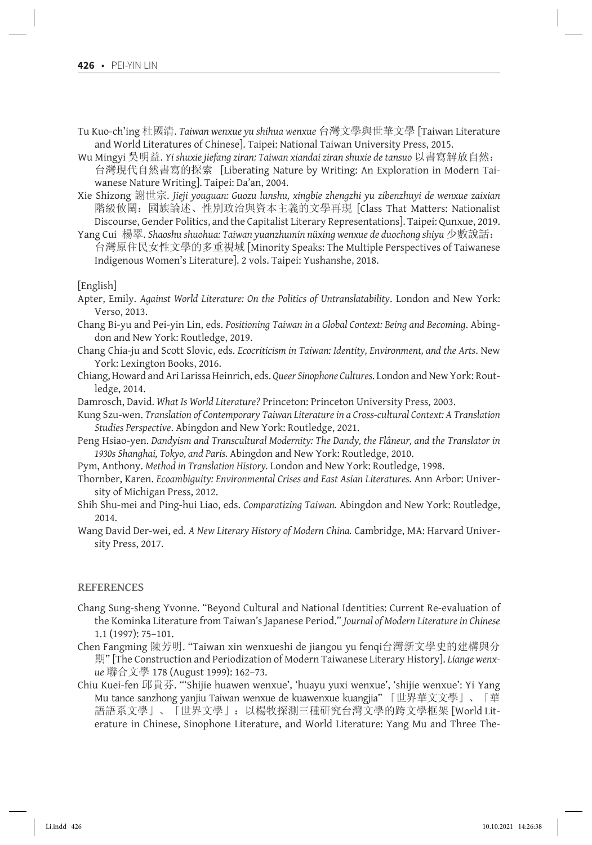- Tu Kuo-ch'ing 杜國清. *Taiwan wenxue yu shihua wenxue* 台灣文學與世華文學 [Taiwan Literature and World Literatures of Chinese]. Taipei: National Taiwan University Press, 2015.
- Wu Mingyi 吳明益. *Yi shuxie jiefang ziran: Taiwan xiandai ziran shuxie de tansuo* 以書寫解放自然: 台灣現代自然書寫的探索 [Liberating Nature by Writing: An Exploration in Modern Taiwanese Nature Writing]. Taipei: Da'an, 2004.
- Xie Shizong 謝世宗. *Jieji youguan: Guozu lunshu, xingbie zhengzhi yu zibenzhuyi de wenxue zaixian* 階級攸關:國族論述、性別政治與資本主義的文學再現 [Class That Matters: Nationalist Discourse, Gender Politics, and the Capitalist Literary Representations]. Taipei: Qunxue, 2019.
- Yang Cui 楊翠. *Shaoshu shuohua: Taiwan yuanzhumin nüxing wenxue de duochong shiyu* 少數說話: 台灣原住民女性文學的多重視域 [Minority Speaks: The Multiple Perspectives of Taiwanese Indigenous Women's Literature]. 2 vols. Taipei: Yushanshe, 2018.

[English]

- Apter, Emily. *Against World Literature: On the Politics of Untranslatability*. London and New York: Verso, 2013.
- Chang Bi-yu and Pei-yin Lin, eds. *Positioning Taiwan in a Global Context: Being and Becoming*. Abingdon and New York: Routledge, 2019.
- Chang Chia-ju and Scott Slovic, eds. *Ecocriticism in Taiwan: Identity, Environment, and the Arts*. New York: Lexington Books, 2016.
- Chiang, Howard and Ari Larissa Heinrich, eds. *Queer Sinophone Cultures*. London and New York: Routledge, 2014.
- Damrosch, David. *What Is World Literature?* Princeton: Princeton University Press, 2003.
- Kung Szu-wen. *Translation of Contemporary Taiwan Literature in a Cross-cultural Context: A Translation Studies Perspective*. Abingdon and New York: Routledge, 2021.
- Peng Hsiao-yen. *Dandyism and Transcultural Modernity: The Dandy, the Flâneur, and the Translator in 1930s Shanghai, Tokyo, and Paris.* Abingdon and New York: Routledge, 2010.
- Pym, Anthony. *Method in Translation History.* London and New York: Routledge, 1998.
- Thornber, Karen. *Ecoambiguity: Environmental Crises and East Asian Literatures.* Ann Arbor: University of Michigan Press, 2012.
- Shih Shu-mei and Ping-hui Liao, eds. *Comparatizing Taiwan.* Abingdon and New York: Routledge, 2014.
- Wang David Der-wei, ed. *A New Literary History of Modern China.* Cambridge, MA: Harvard University Press, 2017.

#### **References**

- Chang Sung-sheng Yvonne. "Beyond Cultural and National Identities: Current Re-evaluation of the Kominka Literature from Taiwan's Japanese Period." *Journal of Modern Literature in Chinese* 1.1 (1997): 75–101.
- Chen Fangming 陳芳明. "Taiwan xin wenxueshi de jiangou yu fenqi台灣新文學史的建構與分 期" [The Construction and Periodization of Modern Taiwanese Literary History]. *Liange wenxue* 聯合文學 178 (August 1999): 162–73.
- Chiu Kuei-fen 邱貴芬. "'Shijie huawen wenxue', 'huayu yuxi wenxue', 'shijie wenxue': Yi Yang Mu tance sanzhong yanjiu Taiwan wenxue de kuawenxue kuangjia" 「世界華文文學」、「華 語語系文學」、「世界文學」:以楊牧探測三種研究台灣文學的跨文學框架 [World Literature in Chinese, Sinophone Literature, and World Literature: Yang Mu and Three The-